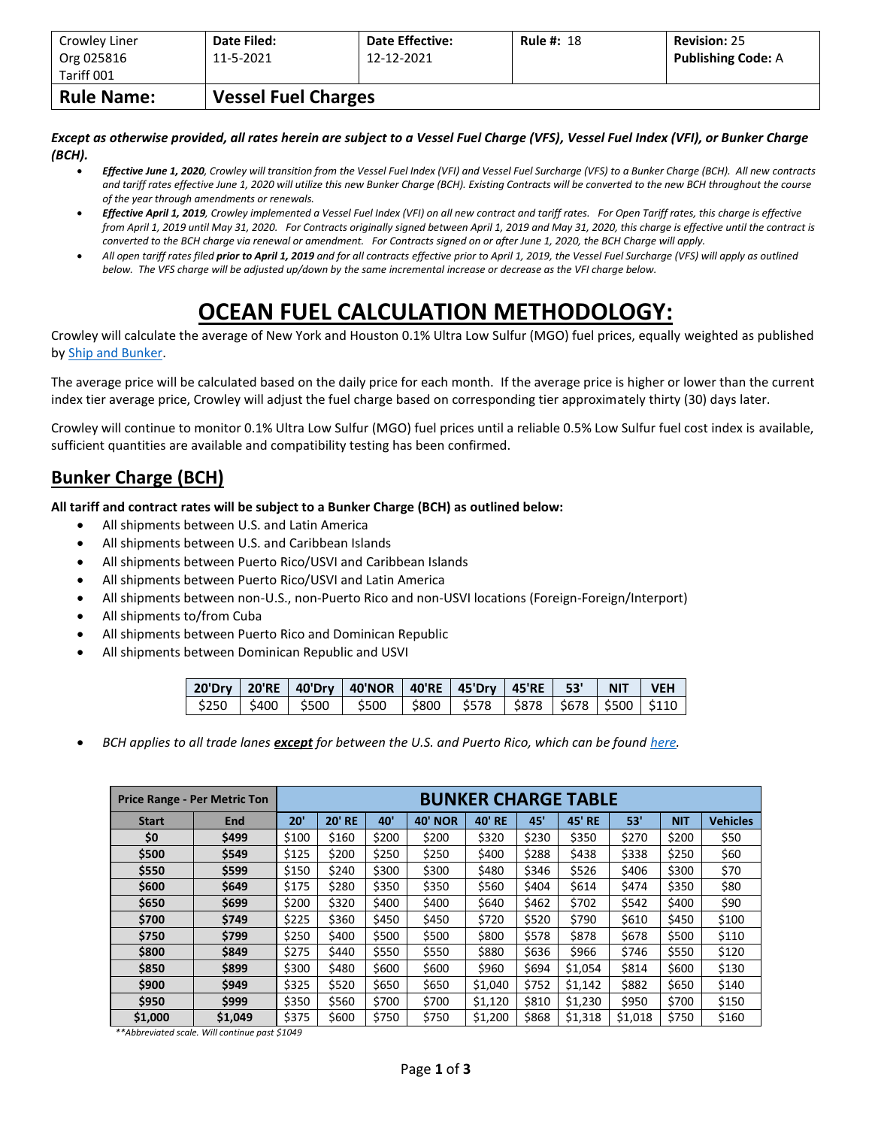| Crowley Liner<br>Org 025816 | Date Filed:<br>11-5-2021   | <b>Date Effective:</b><br>12-12-2021 | <b>Rule #: 18</b> | <b>Revision: 25</b><br><b>Publishing Code: A</b> |  |  |  |  |  |
|-----------------------------|----------------------------|--------------------------------------|-------------------|--------------------------------------------------|--|--|--|--|--|
| Tariff 001                  |                            |                                      |                   |                                                  |  |  |  |  |  |
| <b>Rule Name:</b>           | <b>Vessel Fuel Charges</b> |                                      |                   |                                                  |  |  |  |  |  |

*Except as otherwise provided, all rates herein are subject to a Vessel Fuel Charge (VFS), Vessel Fuel Index (VFI), or Bunker Charge (BCH).*

- *Effective June 1, 2020, Crowley will transition from the Vessel Fuel Index (VFI) and Vessel Fuel Surcharge (VFS) to a Bunker Charge (BCH). All new contracts and tariff rates effective June 1, 2020 will utilize this new Bunker Charge (BCH). Existing Contracts will be converted to the new BCH throughout the course of the year through amendments or renewals.*
- *Effective April 1, 2019, Crowley implemented a Vessel Fuel Index (VFI) on all new contract and tariff rates. For Open Tariff rates, this charge is effective from April 1, 2019 until May 31, 2020. For Contracts originally signed between April 1, 2019 and May 31, 2020, this charge is effective until the contract is converted to the BCH charge via renewal or amendment. For Contracts signed on or after June 1, 2020, the BCH Charge will apply.*
- *All open tariff rates filed prior to April 1, 2019 and for all contracts effective prior to April 1, 2019, the Vessel Fuel Surcharge (VFS) will apply as outlined below. The VFS charge will be adjusted up/down by the same incremental increase or decrease as the VFI charge below.*

## **OCEAN FUEL CALCULATION METHODOLOGY:**

Crowley will calculate the average of New York and Houston 0.1% Ultra Low Sulfur (MGO) fuel prices, equally weighted as published by [Ship and Bunker.](https://shipandbunker.com/)

The average price will be calculated based on the daily price for each month. If the average price is higher or lower than the current index tier average price, Crowley will adjust the fuel charge based on corresponding tier approximately thirty (30) days later.

Crowley will continue to monitor 0.1% Ultra Low Sulfur (MGO) fuel prices until a reliable 0.5% Low Sulfur fuel cost index is available, sufficient quantities are available and compatibility testing has been confirmed.

## **Bunker Charge (BCH)**

**All tariff and contract rates will be subject to a Bunker Charge (BCH) as outlined below:**

- All shipments between U.S. and Latin America
- All shipments between U.S. and Caribbean Islands
- All shipments between Puerto Rico/USVI and Caribbean Islands
- All shipments between Puerto Rico/USVI and Latin America
- All shipments between non-U.S., non-Puerto Rico and non-USVI locations (Foreign-Foreign/Interport)
- All shipments to/from Cuba
- All shipments between Puerto Rico and Dominican Republic
- All shipments between Dominican Republic and USVI

|  | 20'Dry   20'RE   40'Dry   40'NOR   40'RE   45'Dry   45'RE   53'   NIT   VEH   |  |  |  |
|--|-------------------------------------------------------------------------------|--|--|--|
|  | \$250   \$400   \$500   \$500   \$800   \$578   \$878   \$678   \$500   \$110 |  |  |  |

• *BCH applies to all trade lanes except for between the U.S. and Puerto Rico, which can be foun[d here.](https://www.crowley.com/logistics/resources/rates-tariffs/stb/#18-1-vessel-fuel-surcharge-between-the-continental-us-and-puerto-rico)*

|              | <b>Price Range - Per Metric Ton</b> |       |               |       |                   | <b>BUNKER CHARGE TABLE</b> |       |               |         |            |                 |
|--------------|-------------------------------------|-------|---------------|-------|-------------------|----------------------------|-------|---------------|---------|------------|-----------------|
| <b>Start</b> | <b>End</b>                          | 20'   | <b>20' RE</b> | 40'   | 40'<br><b>NOR</b> | <b>40' RE</b>              | 45'   | <b>45' RE</b> | 53'     | <b>NIT</b> | <b>Vehicles</b> |
| \$0          | \$499                               | \$100 | \$160         | \$200 | \$200             | \$320                      | \$230 | \$350         | \$270   | \$200      | \$50            |
| \$500        | \$549                               | \$125 | \$200         | \$250 | \$250             | \$400                      | \$288 | \$438         | \$338   | \$250      | \$60            |
| \$550        | \$599                               | \$150 | \$240         | \$300 | \$300             | \$480                      | \$346 | \$526         | \$406   | \$300      | \$70            |
| \$600        | \$649                               | \$175 | \$280         | \$350 | \$350             | \$560                      | \$404 | \$614         | \$474   | \$350      | \$80            |
| \$650        | \$699                               | \$200 | \$320         | \$400 | \$400             | \$640                      | \$462 | \$702         | \$542   | \$400      | \$90            |
| \$700        | \$749                               | \$225 | \$360         | \$450 | \$450             | \$720                      | \$520 | \$790         | \$610   | \$450      | \$100           |
| \$750        | \$799                               | \$250 | \$400         | \$500 | \$500             | \$800                      | \$578 | \$878         | \$678   | \$500      | \$110           |
| \$800        | \$849                               | \$275 | \$440         | \$550 | \$550             | \$880                      | \$636 | \$966         | \$746   | \$550      | \$120           |
| \$850        | \$899                               | \$300 | \$480         | \$600 | \$600             | \$960                      | \$694 | \$1,054       | \$814   | \$600      | \$130           |
| \$900        | \$949                               | \$325 | \$520         | \$650 | \$650             | \$1,040                    | \$752 | \$1,142       | \$882   | \$650      | \$140           |
| \$950        | \$999                               | \$350 | \$560         | \$700 | \$700             | \$1,120                    | \$810 | \$1,230       | \$950   | \$700      | \$150           |
| \$1,000      | \$1,049                             | \$375 | \$600         | \$750 | \$750             | \$1,200                    | \$868 | \$1,318       | \$1,018 | \$750      | \$160           |

*\*\*Abbreviated scale. Will continue past \$1049*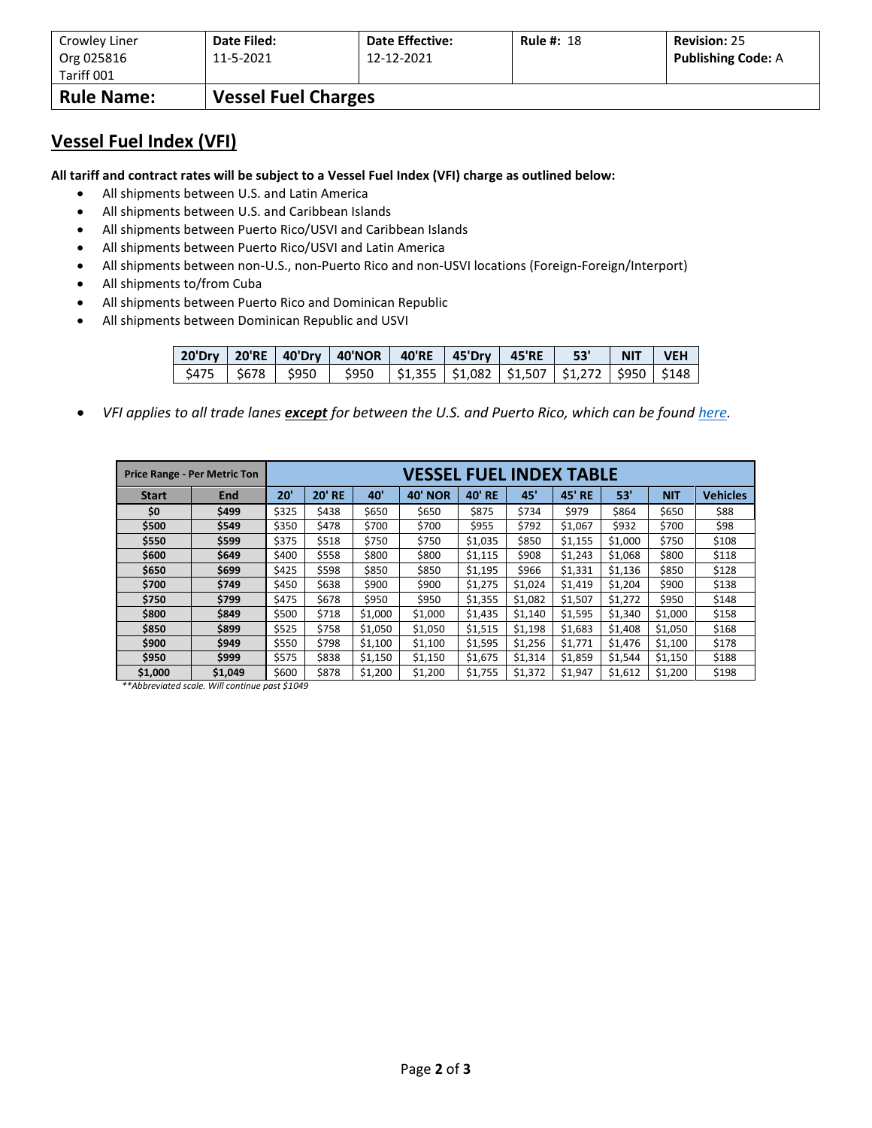| Crowley Liner     | Date Filed:                | <b>Date Effective:</b> | <b>Rule #: 18</b> | <b>Revision: 25</b>       |
|-------------------|----------------------------|------------------------|-------------------|---------------------------|
| Org 025816        | 11-5-2021                  | 12-12-2021             |                   | <b>Publishing Code: A</b> |
| Tariff 001        |                            |                        |                   |                           |
| <b>Rule Name:</b> | <b>Vessel Fuel Charges</b> |                        |                   |                           |

## **Vessel Fuel Index (VFI)**

**All tariff and contract rates will be subject to a Vessel Fuel Index (VFI) charge as outlined below:**

- All shipments between U.S. and Latin America
- All shipments between U.S. and Caribbean Islands
- All shipments between Puerto Rico/USVI and Caribbean Islands
- All shipments between Puerto Rico/USVI and Latin America
- All shipments between non-U.S., non-Puerto Rico and non-USVI locations (Foreign-Foreign/Interport)
- All shipments to/from Cuba
- All shipments between Puerto Rico and Dominican Republic
- All shipments between Dominican Republic and USVI

|  | 20'Dry   20'RE   40'Dry   40'NOR   40'RE   45'Dry   45'RE     53'     NIT   VEH |  |  |  |
|--|---------------------------------------------------------------------------------|--|--|--|
|  | \$475   \$678   \$950   \$950  \$1,355  \$1,082  \$1,507  \$1,272  \$950  \$148 |  |  |  |

• *VFI applies to all trade lanes except for between the U.S. and Puerto Rico, which can be foun[d here.](https://www.crowley.com/logistics/resources/rates-tariffs/stb/#18-1-vessel-fuel-surcharge-between-the-continental-us-and-puerto-rico)*

|              | <b>Price Range - Per Metric Ton</b> | VESSEL FUEL INDEX TABLE |               |         |                |         |         |               |         |            |                 |
|--------------|-------------------------------------|-------------------------|---------------|---------|----------------|---------|---------|---------------|---------|------------|-----------------|
| <b>Start</b> | <b>End</b>                          | 20'                     | <b>20' RE</b> | 40'     | <b>40' NOR</b> | 40' RE  | 45'     | <b>45' RE</b> | 53'     | <b>NIT</b> | <b>Vehicles</b> |
| \$0          | \$499                               | \$325                   | \$438         | \$650   | \$650          | \$875   | \$734   | \$979         | \$864   | \$650      | \$88            |
| \$500        | \$549                               | \$350                   | \$478         | \$700   | \$700          | \$955   | \$792   | \$1,067       | \$932   | \$700      | \$98            |
| \$550        | \$599                               | \$375                   | \$518         | \$750   | \$750          | \$1,035 | \$850   | \$1,155       | \$1,000 | \$750      | \$108           |
| \$600        | \$649                               | \$400                   | \$558         | \$800   | \$800          | \$1,115 | \$908   | \$1,243       | \$1,068 | \$800      | \$118           |
| \$650        | \$699                               | \$425                   | \$598         | \$850   | \$850          | \$1,195 | \$966   | \$1,331       | \$1,136 | \$850      | \$128           |
| \$700        | \$749                               | \$450                   | \$638         | \$900   | \$900          | \$1,275 | \$1,024 | \$1,419       | \$1,204 | \$900      | \$138           |
| \$750        | \$799                               | \$475                   | \$678         | \$950   | \$950          | \$1,355 | \$1,082 | \$1,507       | \$1,272 | \$950      | \$148           |
| \$800        | \$849                               | \$500                   | \$718         | \$1,000 | \$1,000        | \$1,435 | \$1,140 | \$1,595       | \$1,340 | \$1,000    | \$158           |
| \$850        | \$899                               | \$525                   | \$758         | \$1,050 | \$1,050        | \$1,515 | \$1,198 | \$1,683       | \$1,408 | \$1,050    | \$168           |
| \$900        | \$949                               | \$550                   | \$798         | \$1,100 | \$1,100        | \$1,595 | \$1,256 | \$1,771       | \$1,476 | \$1,100    | \$178           |
| \$950        | \$999                               | \$575                   | \$838         | \$1,150 | \$1,150        | \$1,675 | \$1,314 | \$1,859       | \$1,544 | \$1,150    | \$188           |
| \$1,000      | \$1,049                             | \$600                   | \$878         | \$1,200 | \$1,200        | \$1,755 | \$1,372 | \$1,947       | \$1,612 | \$1,200    | \$198           |

*\*\*Abbreviated scale. Will continue past \$1049*